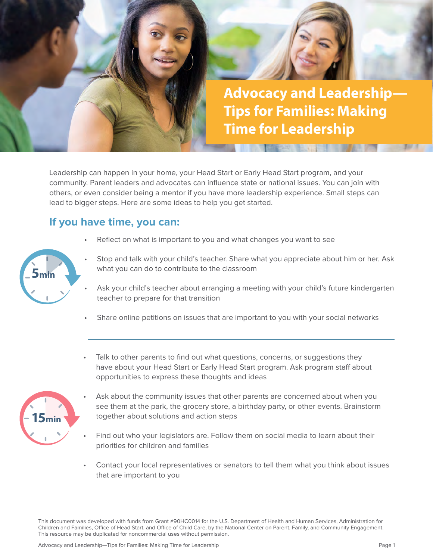

Leadership can happen in your home, your Head Start or Early Head Start program, and your community. Parent leaders and advocates can influence state or national issues. You can join with others, or even consider being a mentor if you have more leadership experience. Small steps can lead to bigger steps. Here are some ideas to help you get started.

## **If you have time, you can:**

Reflect on what is important to you and what changes you want to see



- Stop and talk with your child's teacher. Share what you appreciate about him or her. Ask what you can do to contribute to the classroom
- Ask your child's teacher about arranging a meeting with your child's future kindergarten teacher to prepare for that transition
- Share online petitions on issues that are important to you with your social networks
- Talk to other parents to find out what questions, concerns, or suggestions they have about your Head Start or Early Head Start program. Ask program staff about opportunities to express these thoughts and ideas



- Ask about the community issues that other parents are concerned about when you see them at the park, the grocery store, a birthday party, or other events. Brainstorm together about solutions and action steps
- Find out who your legislators are. Follow them on social media to learn about their priorities for children and families
- Contact your local representatives or senators to tell them what you think about issues that are important to you

This document was developed with funds from Grant #90HC0014 for the U.S. Department of Health and Human Services, Administration for Children and Families, Office of Head Start, and Office of Child Care, by the National Center on Parent, Family, and Community Engagement. This resource may be duplicated for noncommercial uses without permission.